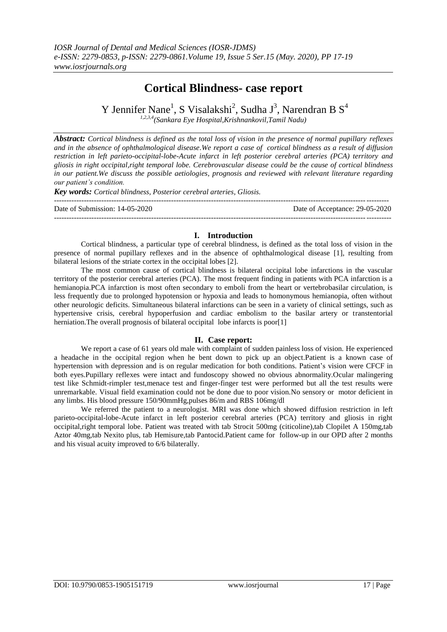# **Cortical Blindness- case report**

Y Jennifer Nane<sup>1</sup>, S Visalakshi<sup>2</sup>, Sudha J<sup>3</sup>, Narendran B S<sup>4</sup> *1,2,3,4(Sankara Eye Hospital,Krishnankovil,Tamil Nadu)*

*Abstract: Cortical blindness is defined as the total loss of vision in the presence of normal pupillary reflexes and in the absence of ophthalmological disease.We report a case of cortical blindness as a result of diffusion restriction in left parieto-occipital-lobe-Acute infarct in left posterior cerebral arteries (PCA) territory and gliosis in right occipital,right temporal lobe. Cerebrovascular disease could be the cause of cortical blindness in our patient.We discuss the possible aetiologies, prognosis and reviewed with relevant literature regarding our patient's condition.*

*Key words: Cortical blindness, Posterior cerebral arteries, Gliosis.*

| Date of Submission: 14-05-2020 | Date of Acceptance: 29-05-2020 |
|--------------------------------|--------------------------------|
|                                |                                |

## **I. Introduction**

Cortical blindness, a particular type of cerebral blindness, is defined as the total loss of vision in the presence of normal pupillary reflexes and in the absence of ophthalmological disease [1], resulting from bilateral lesions of the striate cortex in the occipital lobes [2].

The most common cause of cortical blindness is bilateral occipital lobe infarctions in the vascular territory of the posterior cerebral arteries (PCA). The most frequent finding in patients with PCA infarction is a hemianopia.PCA infarction is most often secondary to emboli from the heart or vertebrobasilar circulation, is less frequently due to prolonged hypotension or hypoxia and leads to homonymous hemianopia, often without other neurologic deficits. Simultaneous bilateral infarctions can be seen in a variety of clinical settings, such as hypertensive crisis, cerebral hypoperfusion and cardiac embolism to the basilar artery or transtentorial herniation. The overall prognosis of bilateral occipital lobe infarcts is poor[1]

# **II. Case report:**

We report a case of 61 years old male with complaint of sudden painless loss of vision. He experienced a headache in the occipital region when he bent down to pick up an object.Patient is a known case of hypertension with depression and is on regular medication for both conditions. Patient's vision were CFCF in both eyes.Pupillary reflexes were intact and fundoscopy showed no obvious abnormality.Ocular malingering test like Schmidt-rimpler test,menace test and finger-finger test were performed but all the test results were unremarkable. Visual field examination could not be done due to poor vision.No sensory or motor deficient in any limbs. His blood pressure 150/90mmHg,pulses 86/m and RBS 106mg/dl

We referred the patient to a neurologist. MRI was done which showed diffusion restriction in left parieto-occipital-lobe-Acute infarct in left posterior cerebral arteries (PCA) territory and gliosis in right occipital,right temporal lobe. Patient was treated with tab Strocit 500mg (citicoline),tab Clopilet A 150mg,tab Aztor 40mg,tab Nexito plus, tab Hemisure,tab Pantocid.Patient came for follow-up in our OPD after 2 months and his visual acuity improved to 6/6 bilaterally.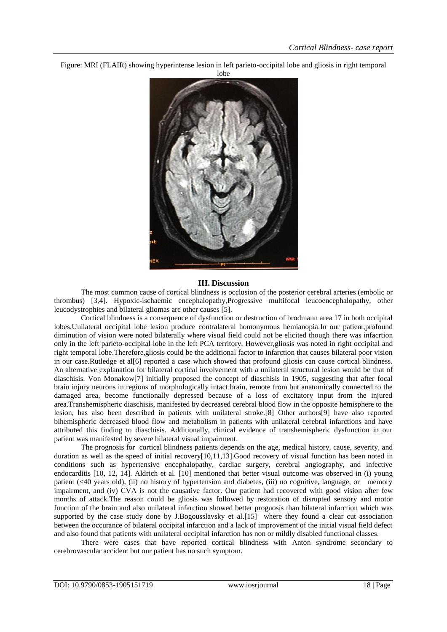Figure: MRI (FLAIR) showing hyperintense lesion in left parieto-occipital lobe and gliosis in right temporal



#### **III. Discussion**

The most common cause of cortical blindness is occlusion of the posterior cerebral arteries (embolic or thrombus) [3,4]. Hypoxic-ischaemic encephalopathy,Progressive multifocal leucoencephalopathy, other leucodystrophies and bilateral gliomas are other causes [5].

Cortical blindness is a consequence of dysfunction or destruction of brodmann area 17 in both occipital lobes.Unilateral occipital lobe lesion produce contralateral homonymous hemianopia.In our patient,profound diminution of vision were noted bilaterally where visual field could not be elicited though there was infacrtion only in the left parieto-occipital lobe in the left PCA territory. However,gliosis was noted in right occipital and right temporal lobe.Therefore,gliosis could be the additional factor to infarction that causes bilateral poor vision in our case.Rutledge et al[6] reported a case which showed that profound gliosis can cause cortical blindness. An alternative explanation for bilateral cortical involvement with a unilateral structural lesion would be that of diaschisis. Von Monakow[7] initially proposed the concept of diaschisis in 1905, suggesting that after focal brain injury neurons in regions of morphologically intact brain, remote from but anatomically connected to the damaged area, become functionally depressed because of a loss of excitatory input from the injured area.Transhemispheric diaschisis, manifested by decreased cerebral blood flow in the opposite hemisphere to the lesion, has also been described in patients with unilateral stroke.[8] Other authors[9] have also reported bihemispheric decreased blood flow and metabolism in patients with unilateral cerebral infarctions and have attributed this finding to diaschisis. Additionally, clinical evidence of transhemispheric dysfunction in our patient was manifested by severe bilateral visual impairment.

The prognosis for cortical blindness patients depends on the age, medical history, cause, severity, and duration as well as the speed of initial recovery[10,11,13].Good recovery of visual function has been noted in conditions such as hypertensive encephalopathy, cardiac surgery, cerebral angiography, and infective endocarditis [10, 12, 14]. Aldrich et al. [10] mentioned that better visual outcome was observed in (i) young patient (<40 years old), (ii) no history of hypertension and diabetes, (iii) no cognitive, language, or memory impairment, and (iv) CVA is not the causative factor. Our patient had recovered with good vision after few months of attack.The reason could be gliosis was followed by restoration of disrupted sensory and motor function of the brain and also unilateral infarction showed better prognosis than bilateral infarction which was supported by the case study done by J.Bogousslavsky et al.[15] where they found a clear cut association between the occurance of bilateral occipital infarction and a lack of improvement of the initial visual field defect and also found that patients with unilateral occipital infarction has non or mildly disabled functional classes.

There were cases that have reported cortical blindness with Anton syndrome secondary to cerebrovascular accident but our patient has no such symptom.